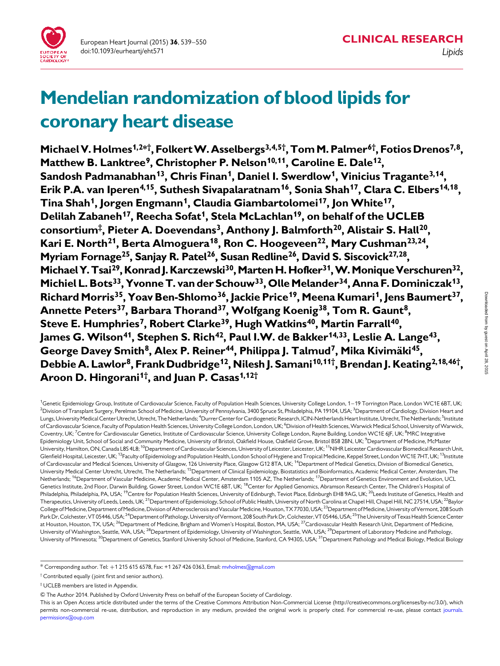

# Mendelian randomization of blood lipids for coronary heart disease

Michael V. Holmes<sup>1,2\*†</sup>, Folkert W. Asselbergs<sup>3,4,5†</sup>, Tom M. Palmer<sup>6†</sup>, Fotios Drenos<sup>7,8</sup>, Matthew B. Lanktree<sup>9</sup>, Christopher P. Nelson<sup>10,11</sup>, Caroline E. Dale<sup>12</sup>, Sandosh Padmanabhan<sup>13</sup>, Chris Finan<sup>1</sup>, Daniel I. Swerdlow<sup>1</sup>, Vinicius Tragante<sup>3,14</sup>, Erik P.A. van Iperen<sup>4,15</sup>, Suthesh Sivapalaratnam<sup>16</sup>, Sonia Shah<sup>17</sup>, Clara C. Elbers<sup>14,18</sup>, Tina Shah<sup>1</sup>, Jorgen Engmann<sup>1</sup>, Claudia Giambartolomei<sup>17</sup>, Jon White<sup>17</sup>, Delilah Zabaneh<sup>17</sup>, Reecha Sofat<sup>1</sup>, Stela McLachlan<sup>19</sup>, on behalf of the UCLEB consortium‡, Pieter A. Doevendans<sup>3</sup>, Anthony J. Balmforth<sup>20</sup>, Alistair S. Hall<sup>20</sup>, Kari E. North<sup>21</sup>, Berta Almoguera<sup>18</sup>, Ron C. Hoogeveen<sup>22</sup>, Mary Cushman<sup>23,24</sup>, Myriam Fornage<sup>25</sup>, Sanjay R. Patel<sup>26</sup>, Susan Redline<sup>26</sup>, David S. Siscovick<sup>27,28</sup>, Michael Y. Tsai<sup>29</sup>, Konrad J. Karczewski<sup>30</sup>, Marten H. Hofker<sup>31</sup>, W. Monique Verschuren<sup>32</sup>, Michiel L. Bots<sup>33</sup>, Yvonne T. van der Schouw<sup>33</sup>, Olle Melander<sup>34</sup>, Anna F. Dominiczak<sup>13</sup>, Richard Morris<sup>35</sup>, Yoav Ben-Shlomo<sup>36</sup>, Jackie Price<sup>19</sup>, Meena Kumari<sup>1</sup>, Jens Baumert<sup>37</sup>, Annette Peters<sup>37</sup>, Barbara Thorand<sup>37</sup>, Wolfgang Koenig<sup>38</sup>, Tom R. Gaunt<sup>8</sup>, Steve E. Humphries<sup>7</sup>, Robert Clarke<sup>39</sup>, Hugh Watkins<sup>40</sup>, Martin Farrall<sup>40</sup>, James G. Wilson<sup>41</sup>, Stephen S. Rich<sup>42</sup>, Paul I.W. de Bakker<sup>14,33</sup>, Leslie A. Lange<sup>43</sup>, George Davey Smith<sup>8</sup>, Alex P. Reiner<sup>44</sup>, Philippa J. Talmud<sup>7</sup>, Mika Kivimäki<sup>45</sup>, Debbie A. Lawlor<sup>8</sup>, Frank Dudbridge<sup>12</sup>, Nilesh J. Samani<sup>10,11†</sup>, Brendan J. Keating<sup>2,18,46†</sup>, Aroon D. Hingorani<sup>1†</sup>, and Juan P. Casas<sup>1,12†</sup>

<sup>1</sup>Genetic Epidemiology Group, Institute of Cardiovacular Science, Faculty of Population Healh Sciences, University College London, 1–19 Torrington Place, London WC1E 6BT, UK; <sup>2</sup>Division of Transplant Surgery, Perelman School of Medicine, University of Pennsylvania, 3400 Spruce St, Philadelphia, PA 19104, USA; <sup>3</sup>Department of Cardiology, Division Heart and Lungs, University Medical Center Utrecht, Utrecht, The Netherlands; <sup>4</sup>Durrer Center for Cardiogenetic Research, ICIN-Netherlands Heart Institute, Utrecht, The Netherlands; <sup>5</sup>Institute of Cardiovascular Science, Faculty of Population Health Sciences, University College London, London, UK; <sup>6</sup>Division of Health Sciences, Warwick Medical School, University of Warwick. Coventry, UK; <sup>7</sup>Centre for Cardiovascular Genetics, Institute of Cardiovascular Science, University College London, Rayne Building, London WC1E 6JF, UK; <sup>8</sup>MRC Integrative Epidemiology Unit, School of Social and Community Medicine, University of Bristol, Oakfield House, Oakfield Grove, Bristol BS8 2BN, UK; <sup>9</sup>Department of Medicine, McMaster University, Hamilton, ON, Canada L8S 4L8; <sup>10</sup>Department of Cardiovascular Sciences, University of Leicester, Leicester, UK; <sup>11</sup>NIHR Leicester Cardiovascular Biomedical Research Unit, Glenfield Hospital, Leicester, UK; <sup>12</sup>Faculty of Epidemiology and Population Health, London School of Hygiene and Tropical Medicine, Keppel Street, London WC1E 7HT, UK; <sup>13</sup>Institute of Cardiovascular and Medical Sciences, University of Glasgow, 126 University Place, Glasgow G12 8TA, UK; <sup>14</sup>Department of Medical Genetics, Division of Biomedical Genetics, University Medical Center Utrecht, Utrecht, The Netherlands; 15Department of Clinical Epidemiology, Biostatistics and Bioinformatics, Academic Medical Center, Amsterdam, The Netherlands; 16Department of Vascular Medicine, Academic Medical Center, Amsterdam 1105 AZ, The Netherlands; 17Department of Genetics Environment and Evolution, UCL Genetics Institute, 2nd Floor, Darwin Building, Gower Street, London WC1E 6BT, UK; <sup>18</sup>Center for Applied Genomics, Abramson Research Center, The Children's Hospital of Philadelphia, Philadelphia, PA, USA; <sup>19</sup>Centre for Population Health Sciences, University of Edinburgh, Teviot Place, Edinburgh EH8 9AG, UK; <sup>20</sup>Leeds Institute of Genetics, Health and Therapeutics, University of Leeds, Leeds, UK; <sup>21</sup>Department of Epidemiology, School of Public Health, University of North Carolina at Chapel Hill, Chapel Hill, NC 27514, USA; <sup>22</sup>Baylor College of Medicine, Department of Medicine, Division of Atherosclerosis and Vascular Medicine, Houston, TX 77030, USA; <sup>23</sup>Department of Medicine, University of Vermont, 208 South Park Dr, Colchester, VT 05446, USA; <sup>24</sup>Department of Pathology, University of Vermont, 208 South Park Dr, Colchester, VT 05446, USA; <sup>25</sup>The University of Texas Health Science Center at Houston, Houston, TX, USA; <sup>26</sup>Department of Medicine, Brigham and Women's Hospital, Boston, MA, USA; <sup>27</sup>Cardiovascular Health Research Unit, Department of Medicine, University of Washington, Seattle, WA, USA; <sup>28</sup>Department of Epidemiology, University of Washington, Seattle, WA, USA; <sup>29</sup>Department of Laboratory Medicine and Pathology, University of Minnesota; <sup>30</sup>Department of Genetics, Stanford University School of Medicine, Stanford, CA 94305, USA; <sup>31</sup>Department Pathology and Medical Biology, Medical Biology

<sup>\*</sup> Corresponding author. Tel: +1 215 615 6578, Fax: +1 267 426 0363, Email: [mvholmes@gmail.com](mailto:mvholmes@gmail.com)

<sup>†</sup>Contributed equally (joint first and senior authors).

<sup>‡</sup> UCLEB members are listed in Appendix.

 $@$  The Author 2014. Published by Oxford University Press on behalf of the European Society of Cardiology.

This is an Open Access article distributed under the terms of the Creative Commons Attribution Non-Commercial License (http://creativecommons.org/licenses/by-nc/3.0/), which permits non-commercial re-use, distribution, and reproduction in any medium, provided the original work is properly cited. For commercial re-use, please contact [journals.](mailto:journals.<?show [sr]?>permissions@oup.com) [permissions@oup.com](mailto:journals.<?show [sr]?>permissions@oup.com)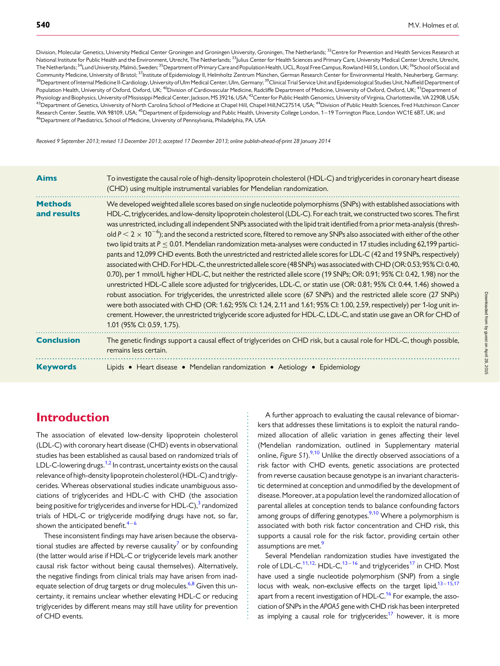Division, Molecular Genetics, University Medical Center Groningen and Groningen University, Groningen, The Netherlands; <sup>32</sup>Centre for Prevention and Health Services Research at National Institute for Public Health and the Environment, Utrecht, The Netherlands; <sup>33</sup>Julius Center for Health Sciences and Primary Care, University Medical Center Utrecht, Utrecht, The Netherlands; <sup>34</sup>Lund University, Malmö, Sweden; <sup>35</sup>Department of Primary Care and Population Health, UCL, Royal Free Campus, Rowland Hill St, London, UK; <sup>36</sup>School of Social and Community Medicine, University of Bristol;<sup>37</sup>Institute of Epidemiology II, Helmholtz Zentrum München, German Research Center for Environmental Health, Neuherberg, Germany; <sup>38</sup>Department of Internal Medicine II-Cardiology, University of Ulm Medical Center, Ulm, Germany; <sup>39</sup>Clinical Trial Service Unit and Epidemiological Studies Unit, Nuffield Department of Population Health, University of Oxford, Oxford, UK; <sup>40</sup>Division of Cardiovascular Medicine, Radcliffe Department of Medicine, University of Oxford, Oxford, UK; <sup>41</sup>Department of Physiology and Biophysics, University of Mississippi Medical Center, Jackson, MS 39216, USA; <sup>42</sup>Center for Public Health Genomics, University of Virginia, Charlottesville, VA 22908, USA; 43Department of Genetics, University of North Carolina School of Medicine at Chapel Hill, Chapel Hill,NC27514, USA; <sup>44</sup>Division of Public Health Sciences, Fred Hutchinson Cancer Research Center, Seattle, WA 98109, USA; <sup>45</sup>Department of Epidemiology and Public Health, University College London, 1–19 Torrington Place, London WC1E 6BT, UK; and <sup>46</sup>Department of Paediatrics, School of Medicine, University of Pennsylvania, Philadelphia, PA, USA

Received 9 September 2013; revised 13 December 2013; accepted 17 December 2013; online publish-ahead-of-print 28 January 2014

| <b>Aims</b>                   | To investigate the causal role of high-density lipoprotein cholesterol (HDL-C) and triglycerides in coronary heart disease<br>(CHD) using multiple instrumental variables for Mendelian randomization.                                                                                                                                                                                                                                                                                                                                                                                                                                                                                                                                                                                                                                                                                                                                                                                                                                                                                                                                                                                                                                                                                                                                                                                                                                                                                                                                                                                                 |  |  |  |  |
|-------------------------------|--------------------------------------------------------------------------------------------------------------------------------------------------------------------------------------------------------------------------------------------------------------------------------------------------------------------------------------------------------------------------------------------------------------------------------------------------------------------------------------------------------------------------------------------------------------------------------------------------------------------------------------------------------------------------------------------------------------------------------------------------------------------------------------------------------------------------------------------------------------------------------------------------------------------------------------------------------------------------------------------------------------------------------------------------------------------------------------------------------------------------------------------------------------------------------------------------------------------------------------------------------------------------------------------------------------------------------------------------------------------------------------------------------------------------------------------------------------------------------------------------------------------------------------------------------------------------------------------------------|--|--|--|--|
| <b>Methods</b><br>and results | We developed weighted allele scores based on single nucleotide polymorphisms (SNPs) with established associations with<br>HDL-C, triglycerides, and low-density lipoprotein cholesterol (LDL-C). For each trait, we constructed two scores. The first<br>was unrestricted, including all independent SNPs associated with the lipid trait identified from a prior meta-analysis (thresh-<br>old $P < 2 \times 10^{-6}$ ); and the second a restricted score, filtered to remove any SNPs also associated with either of the other<br>two lipid traits at $P \le 0.01$ . Mendelian randomization meta-analyses were conducted in 17 studies including 62,199 partici-<br>pants and 12,099 CHD events. Both the unrestricted and restricted allele scores for LDL-C (42 and 19 SNPs, respectively)<br>associated with CHD. For HDL-C, the unrestricted allele score (48 SNPs) was associated with CHD (OR: 0.53; 95% CI: 0.40,<br>0.70), per 1 mmol/L higher HDL-C, but neither the restricted allele score (19 SNPs; OR: 0.91; 95% CI: 0.42, 1.98) nor the<br>unrestricted HDL-C allele score adjusted for triglycerides, LDL-C, or statin use (OR: 0.81; 95% Cl: 0.44, 1.46) showed a<br>robust association. For triglycerides, the unrestricted allele score (67 SNPs) and the restricted allele score (27 SNPs)<br>were both associated with CHD (OR: 1.62; 95% CI: 1.24, 2.11 and 1.61; 95% CI: 1.00, 2.59, respectively) per 1-log unit in-<br>crement. However, the unrestricted triglyceride score adjusted for HDL-C, LDL-C, and statin use gave an OR for CHD of<br>1.01 (95% CI: 0.59, 1.75). |  |  |  |  |
| <b>Conclusion</b>             | The genetic findings support a causal effect of triglycerides on CHD risk, but a causal role for HDL-C, though possible,<br>remains less certain.                                                                                                                                                                                                                                                                                                                                                                                                                                                                                                                                                                                                                                                                                                                                                                                                                                                                                                                                                                                                                                                                                                                                                                                                                                                                                                                                                                                                                                                      |  |  |  |  |
| <b>Keywords</b>               | Lipids • Heart disease • Mendelian randomization • Aetiology • Epidemiology                                                                                                                                                                                                                                                                                                                                                                                                                                                                                                                                                                                                                                                                                                                                                                                                                                                                                                                                                                                                                                                                                                                                                                                                                                                                                                                                                                                                                                                                                                                            |  |  |  |  |

# Introduction

The association of elevated low-density lipoprotein cholesterol (LDL-C) with coronary heart disease (CHD) events in observational studies has been established as causal based on randomized trials of LDL-C-lowering drugs.<sup>[1,2](#page-11-0)</sup> In contrast, uncertainty exists on the causal relevance of high-density lipoprotein cholesterol (HDL-C) and triglycerides. Whereas observational studies indicate unambiguous associations of triglycerides and HDL-C with CHD (the association being positive for triglycerides and inverse for HDL-C),<sup>[3](#page-11-0)</sup> randomized trials of HDL-C or triglyceride modifying drugs have not, so far, shown the anticipated benefit. $4-6$  $4-6$  $4-6$ 

These inconsistent findings may have arisen because the observational studies are affected by reverse causality $\prime$  or by confounding (the latter would arise if HDL-C or triglyceride levels mark another causal risk factor without being causal themselves). Alternatively, the negative findings from clinical trials may have arisen from inad-equate selection of drug targets or drug molecules.<sup>[6,8](#page-11-0)</sup> Given this uncertainty, it remains unclear whether elevating HDL-C or reducing triglycerides by different means may still have utility for prevention of CHD events.

A further approach to evaluating the causal relevance of biomarkers that addresses these limitations is to exploit the natural randomized allocation of allelic variation in genes affecting their level (Mendelian randomization, outlined in [Supplementary material](http://eurheartj.oxfordjournals.org/lookup/suppl/doi:10.1093/eurheartj/eht571/-/DC1) online, [Figure S1](http://eurheartj.oxfordjournals.org/lookup/suppl/doi:10.1093/eurheartj/eht571/-/DC1)).<sup>9,10</sup> Unlike the directly observed associations of a risk factor with CHD events, genetic associations are protected from reverse causation because genotype is an invariant characteristic determined at conception and unmodified by the development of disease. Moreover, at a population level the randomized allocation of parental alleles at conception tends to balance confounding factors among groups of differing genotypes.<sup>[9,10](#page-11-0)</sup> Where a polymorphism is associated with both risk factor concentration and CHD risk, this supports a causal role for the risk factor, providing certain other assumptions are met.<sup>[9](#page-11-0)</sup>

Several Mendelian randomization studies have investigated the role of LDL-C,<sup>[11,12](#page-11-0),</sup> HDL-C,<sup>[13](#page-11-0)–[16](#page-11-0)</sup> and triglycerides<sup>[17](#page-11-0)</sup> in CHD. Most have used a single nucleotide polymorphism (SNP) from a single locus with weak, non-exclusive effects on the target lipid, $13-15,17$  $13-15,17$  $13-15,17$  $13-15,17$ apart from a recent investigation of HDL-C.<sup>[16](#page-11-0)</sup> For example, the association of SNPs in the APOA5 gene with CHD risk has been interpreted as implying a causal role for triglycerides; $17$  however, it is more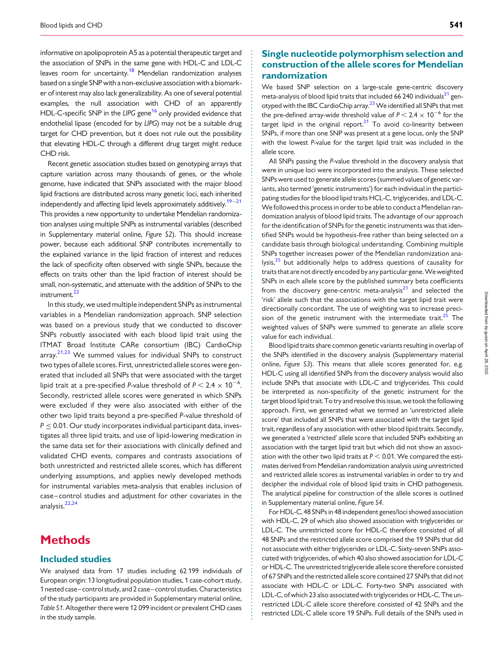informative on apolipoprotein A5 as a potential therapeutic target and the association of SNPs in the same gene with HDL-C and LDL-C leaves room for uncertainty.<sup>18</sup> Mendelian randomization analyses based on a single SNP with a non-exclusive association with a biomarker of interest may also lack generalizability. As one of several potential examples, the null association with CHD of an apparently HDL-C-specific SNP in the LIPG gene<sup>16</sup> only provided evidence that endothelial lipase (encoded for by LIPG) may not be a suitable drug target for CHD prevention, but it does not rule out the possibility that elevating HDL-C through a different drug target might reduce CHD risk.

Recent genetic association studies based on genotyping arrays that capture variation across many thousands of genes, or the whole genome, have indicated that SNPs associated with the major blood lipid fractions are distributed across many genetic loci, each inherited independently and affecting lipid levels approximately additively.<sup>[19](#page-11-0)-[21](#page-11-0)</sup> This provides a new opportunity to undertake Mendelian randomization analyses using multiple SNPs as instrumental variables (described in [Supplementary material online,](http://eurheartj.oxfordjournals.org/lookup/suppl/doi:10.1093/eurheartj/eht571/-/DC1) Figure S2). This should increase power, because each additional SNP contributes incrementally to the explained variance in the lipid fraction of interest and reduces the lack of specificity often observed with single SNPs, because the effects on traits other than the lipid fraction of interest should be small, non-systematic, and attenuate with the addition of SNPs to the instrument.<sup>[22](#page-12-0)</sup>

In this study, we used multiple independent SNPs as instrumental variables in a Mendelian randomization approach. SNP selection was based on a previous study that we conducted to discover SNPs robustly associated with each blood lipid trait using the ITMAT Broad Institute CARe consortium (IBC) CardioChip  $array.<sup>21,23</sup>$  $array.<sup>21,23</sup>$  $array.<sup>21,23</sup>$  $array.<sup>21,23</sup>$  $array.<sup>21,23</sup>$  We summed values for individual SNPs to construct two types of allele scores. First, unrestricted allele scores were generated that included all SNPs that were associated with the target lipid trait at a pre-specified P-value threshold of  $P < 2.4 \times 10^{-6}$ . . Secondly, restricted allele scores were generated in which SNPs were excluded if they were also associated with either of the other two lipid traits beyond a pre-specified P-value threshold of  $P \leq 0.01$ . Our study incorporates individual participant data, investigates all three lipid traits, and use of lipid-lowering medication in the same data set for their associations with clinically defined and validated CHD events, compares and contrasts associations of both unrestricted and restricted allele scores, which has different underlying assumptions, and applies newly developed methods for instrumental variables meta-analysis that enables inclusion of case–control studies and adjustment for other covariates in the analysis.<sup>[22](#page-12-0),[24](#page-12-0)</sup>

# **Methods**

### Included studies

We analysed data from 17 studies including 62 199 individuals of European origin: 13 longitudinal population studies, 1 case-cohort study, 1 nested case–control study, and 2 case–control studies. Characteristics of the study participants are provided in [Supplementary material online,](http://eurheartj.oxfordjournals.org/lookup/suppl/doi:10.1093/eurheartj/eht571/-/DC1) [Table S1](http://eurheartj.oxfordjournals.org/lookup/suppl/doi:10.1093/eurheartj/eht571/-/DC1). Altogether there were 12 099 incident or prevalent CHD cases in the study sample.

## Single nucleotide polymorphism selection and construction of the allele scores for Mendelian randomization

We based SNP selection on a large-scale gene-centric discovery meta-analysis of blood lipid traits that included 66 240 individuals<sup>[21](#page-11-0)</sup> genotyped with the IBC CardioChip array.<sup>23</sup> We identified all SNPs that met the pre-defined array-wide threshold value of  $P < 2.4 \times 10^{-6}$  for the target lipid in the original report. $21$  To avoid co-linearity between SNPs, if more than one SNP was present at a gene locus, only the SNP with the lowest P-value for the target lipid trait was included in the allele score.

All SNPs passing the P-value threshold in the discovery analysis that were in unique loci were incorporated into the analysis. These selected SNPs were used to generate allele scores (summed values of genetic variants, also termed 'genetic instruments') for each individual in the participating studies for the blood lipid traits HCL-C, triglycerides, and LDL-C. We followed this process in order to be able to conduct a Mendelian randomization analysis of blood lipid traits. The advantage of our approach for the identification of SNPs for the genetic instruments was that identified SNPs would be hypothesis-free rather than being selected on a candidate basis through biological understanding. Combining multiple SNPs together increases power of the Mendelian randomization analysis, $25$  but additionally helps to address questions of causality for traits that are not directly encoded by any particular gene. Weweighted SNPs in each allele score by the published summary beta coefficients from the discovery gene-centric meta-analysis $2<sup>1</sup>$  and selected the 'risk' allele such that the associations with the target lipid trait were directionally concordant. The use of weighting was to increase preci-sion of the genetic instrument with the intermediate trait.<sup>[25](#page-12-0)</sup> The weighted values of SNPs were summed to generate an allele score value for each individual.

Blood lipid traits share common genetic variants resulting in overlap of the SNPs identified in the discovery analysis ([Supplementary material](http://eurheartj.oxfordjournals.org/lookup/suppl/doi:10.1093/eurheartj/eht571/-/DC1) online, [Figure S3](http://eurheartj.oxfordjournals.org/lookup/suppl/doi:10.1093/eurheartj/eht571/-/DC1)). This means that allele scores generated for, e.g. HDL-C using all identified SNPs from the discovery analysis would also include SNPs that associate with LDL-C and triglycerides. This could be interpreted as non-specificity of the genetic instrument for the target blood lipid trait. To tryand resolve this issue, we took the following approach. First, we generated what we termed an 'unrestricted allele score' that included all SNPs that were associated with the target lipid trait, regardless of any association with other blood lipid traits. Secondly, we generated a 'restricted' allele score that included SNPs exhibiting an association with the target lipid trait but which did not show an association with the other two lipid traits at  $P < 0.01$ . We compared the estimates derived from Mendelian randomization analysis using unrestricted and restricted allele scores as instrumental variables in order to try and decipher the individual role of blood lipid traits in CHD pathogenesis. The analytical pipeline for construction of the allele scores is outlined in [Supplementary material online,](http://eurheartj.oxfordjournals.org/lookup/suppl/doi:10.1093/eurheartj/eht571/-/DC1) Figure S4.

For HDL-C, 48 SNPs in 48 independent genes/loci showed association with HDL-C, 29 of which also showed association with triglycerides or LDL-C. The unrestricted score for HDL-C therefore consisted of all 48 SNPs and the restricted allele score comprised the 19 SNPs that did not associate with either triglycerides or LDL-C. Sixty-seven SNPs associated with triglycerides, of which 40 also showed association for LDL-C or HDL-C. The unrestricted triglyceride allele score therefore consisted of 67 SNPs and the restricted allele score contained 27 SNPs that did not associate with HDL-C or LDL-C. Forty-two SNPs associated with LDL-C, of which 23 also associated with triglycerides or HDL-C. The unrestricted LDL-C allele score therefore consisted of 42 SNPs and the restricted LDL-C allele score 19 SNPs. Full details of the SNPs used in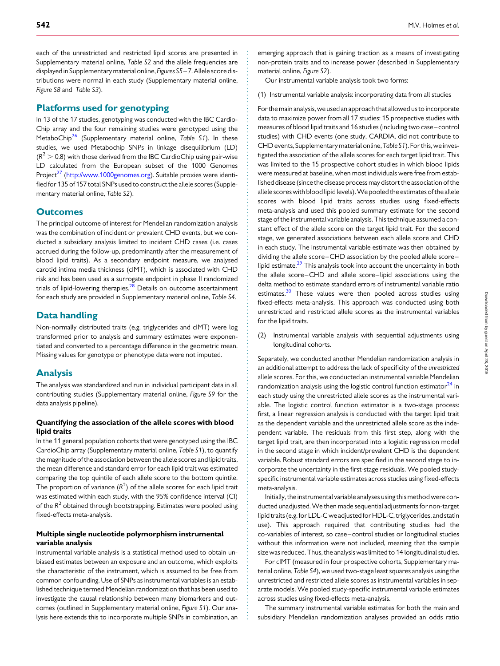each of the unrestricted and restricted lipid scores are presented in [Supplementary material online,](http://eurheartj.oxfordjournals.org/lookup/suppl/doi:10.1093/eurheartj/eht571/-/DC1) Table S2 and the allele frequencies are displayed in Supplementary material online, Figures S5 - 7. Allele score distributions were normal in each study ([Supplementary material online,](http://eurheartj.oxfordjournals.org/lookup/suppl/doi:10.1093/eurheartj/eht571/-/DC1) [Figure S8](http://eurheartj.oxfordjournals.org/lookup/suppl/doi:10.1093/eurheartj/eht571/-/DC1) and [Table S3](http://eurheartj.oxfordjournals.org/lookup/suppl/doi:10.1093/eurheartj/eht571/-/DC1)).

#### Platforms used for genotyping

In 13 of the 17 studies, genotyping was conducted with the IBC Cardio-Chip array and the four remaining studies were genotyped using the MetaboChip<sup>[26](#page-12-0)</sup> ([Supplementary material online,](http://eurheartj.oxfordjournals.org/lookup/suppl/doi:10.1093/eurheartj/eht571/-/DC1) Table S1). In these studies, we used Metabochip SNPs in linkage disequilibrium (LD)  $(R<sup>2</sup> > 0.8)$  with those derived from the IBC CardioChip using pair-wise LD calculated from the European subset of the 1000 Genomes Project<sup>[27](#page-12-0)</sup> [\(http://www.1000genomes.org](http://www.1000genomes.org)). Suitable proxies were identified for 135 of 157 total SNPs used to construct the allele scores ([Supple](http://eurheartj.oxfordjournals.org/lookup/suppl/doi:10.1093/eurheartj/eht571/-/DC1)[mentary material online,](http://eurheartj.oxfordjournals.org/lookup/suppl/doi:10.1093/eurheartj/eht571/-/DC1) Table S2).

#### **Outcomes**

The principal outcome of interest for Mendelian randomization analysis was the combination of incident or prevalent CHD events, but we conducted a subsidiary analysis limited to incident CHD cases (i.e. cases accrued during the follow-up, predominantly after the measurement of blood lipid traits). As a secondary endpoint measure, we analysed carotid intima media thickness (cIMT), which is associated with CHD risk and has been used as a surrogate endpoint in phase II randomized trials of lipid-lowering therapies. $^{28}$  $^{28}$  $^{28}$  Details on outcome ascertainment for each study are provided in [Supplementary material online,](http://eurheartj.oxfordjournals.org/lookup/suppl/doi:10.1093/eurheartj/eht571/-/DC1) Table S4.

### Data handling

Non-normally distributed traits (e.g. triglycerides and cIMT) were log transformed prior to analysis and summary estimates were exponentiated and converted to a percentage difference in the geometric mean. Missing values for genotype or phenotype data were not imputed.

#### Analysis

The analysis was standardized and run in individual participant data in all contributing studies ([Supplementary material online,](http://eurheartj.oxfordjournals.org/lookup/suppl/doi:10.1093/eurheartj/eht571/-/DC1) Figure S9 for the data analysis pipeline).

#### Quantifying the association of the allele scores with blood lipid traits

In the 11 general population cohorts that were genotyped using the IBC CardioChip array ([Supplementary material online,](http://eurheartj.oxfordjournals.org/lookup/suppl/doi:10.1093/eurheartj/eht571/-/DC1) Table S1), to quantify the magnitude of the association betweenthe allele scores and lipid traits, the mean difference and standard error for each lipid trait was estimated comparing the top quintile of each allele score to the bottom quintile. The proportion of variance  $(\mathsf{R}^2)$  of the allele scores for each lipid trait was estimated within each study, with the 95% confidence interval (CI) of the  $R^2$  obtained through bootstrapping. Estimates were pooled using fixed-effects meta-analysis.

#### Multiple single nucleotide polymorphism instrumental variable analysis

Instrumental variable analysis is a statistical method used to obtain unbiased estimates between an exposure and an outcome, which exploits the characteristic of the instrument, which is assumed to be free from common confounding. Use of SNPs as instrumental variables is an established technique termed Mendelian randomization that has been used to investigate the causal relationship between many biomarkers and outcomes (outlined in [Supplementary material online,](http://eurheartj.oxfordjournals.org/lookup/suppl/doi:10.1093/eurheartj/eht571/-/DC1) Figure S1). Our analysis here extends this to incorporate multiple SNPs in combination, an

emerging approach that is gaining traction as a means of investigating non-protein traits and to increase power (described in [Supplementary](http://eurheartj.oxfordjournals.org/lookup/suppl/doi:10.1093/eurheartj/eht571/-/DC1) [material online,](http://eurheartj.oxfordjournals.org/lookup/suppl/doi:10.1093/eurheartj/eht571/-/DC1) Figure S2).

Our instrumental variable analysis took two forms:

(1) Instrumental variable analysis: incorporating data from all studies

Forthe main analysis, weused an approachthatallowed usto incorporate data to maximize power from all 17 studies: 15 prospective studies with measures of blood lipid traits and 16 studies (including two case–control studies) with CHD events (one study, CARDIA, did not contribute to CHD events, [Supplementary material online,](http://eurheartj.oxfordjournals.org/lookup/suppl/doi:10.1093/eurheartj/eht571/-/DC1) Table S1). For this, we investigated the association of the allele scores for each target lipid trait. This was limited to the 15 prospective cohort studies in which blood lipids were measured at baseline, when most individuals were free from established disease (since the disease process may distort the association of the allele scores with blood lipid levels). We pooled the estimates of the allele scores with blood lipid traits across studies using fixed-effects meta-analysis and used this pooled summary estimate for the second stage of the instrumental variable analysis. This technique assumed a constant effect of the allele score on the target lipid trait. For the second stage, we generated associations between each allele score and CHD in each study. The instrumental variable estimate was then obtained by dividing the allele score–CHD association by the pooled allele score– lipid estimate.<sup>[29](#page-12-0)</sup> This analysis took into account the uncertainty in both the allele score–CHD and allele score–lipid associations using the delta method to estimate standard errors of instrumental variable ratio estimates.<sup>[30](#page-12-0)</sup> These values were then pooled across studies using fixed-effects meta-analysis. This approach was conducted using both unrestricted and restricted allele scores as the instrumental variables for the lipid traits.

(2) Instrumental variable analysis with sequential adjustments using longitudinal cohorts.

Separately, we conducted another Mendelian randomization analysis in an additional attempt to address the lack of specificity of the unrestricted allele scores. For this, we conducted an instrumental variable Mendelian randomization analysis using the logistic control function estimator $^{24}$  $^{24}$  $^{24}$  in each study using the unrestricted allele scores as the instrumental variable. The logistic control function estimator is a two-stage process: first, a linear regression analysis is conducted with the target lipid trait as the dependent variable and the unrestricted allele score as the independent variable. The residuals from this first step, along with the target lipid trait, are then incorporated into a logistic regression model in the second stage in which incident/prevalent CHD is the dependent variable. Robust standard errors are specified in the second stage to incorporate the uncertainty in the first-stage residuals. We pooled studyspecific instrumental variable estimates across studies using fixed-effects meta-analysis.

Initially, the instrumental variable analyses using this method were conducted unadjusted. We then made sequential adjustments for non-target lipid traits(e.g. for LDL-Cweadjusted forHDL-C, triglycerides, and statin use). This approach required that contributing studies had the co-variables of interest, so case–control studies or longitudinal studies without this information were not included, meaning that the sample size was reduced. Thus, the analysis was limited to 14 longitudinal studies.

For cIMT (measured in four prospective cohorts, [Supplementary ma](http://eurheartj.oxfordjournals.org/lookup/suppl/doi:10.1093/eurheartj/eht571/-/DC1)[terial online,](http://eurheartj.oxfordjournals.org/lookup/suppl/doi:10.1093/eurheartj/eht571/-/DC1) Table S4), we used two-stage least squares analysis using the unrestricted and restricted allele scores as instrumental variables in separate models. We pooled study-specific instrumental variable estimates across studies using fixed-effects meta-analysis.

The summary instrumental variable estimates for both the main and subsidiary Mendelian randomization analyses provided an odds ratio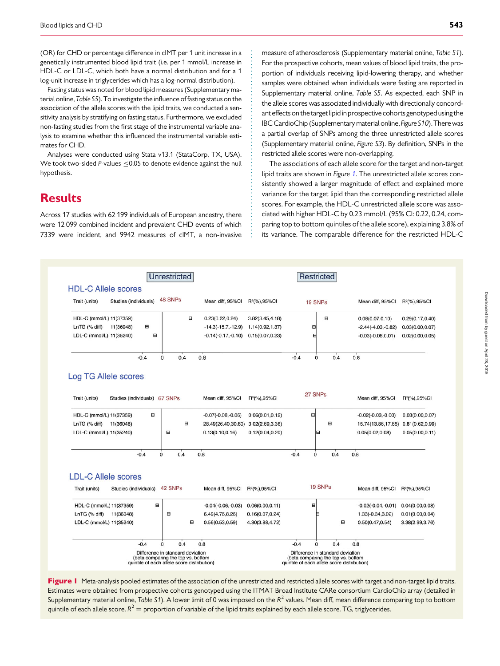<span id="page-4-0"></span>(OR) for CHD or percentage difference in cIMT per 1 unit increase in a genetically instrumented blood lipid trait (i.e. per 1 mmol/L increase in HDL-C or LDL-C, which both have a normal distribution and for a 1 log-unit increase in triglycerides which has a log-normal distribution).

Fasting status was noted for blood lipid measures ([Supplementary ma](http://eurheartj.oxfordjournals.org/lookup/suppl/doi:10.1093/eurheartj/eht571/-/DC1)[terial online,](http://eurheartj.oxfordjournals.org/lookup/suppl/doi:10.1093/eurheartj/eht571/-/DC1) Table S5). To investigate the influence of fasting status on the association of the allele scores with the lipid traits, we conducted a sensitivity analysis by stratifying on fasting status. Furthermore, we excluded non-fasting studies from the first stage of the instrumental variable analysis to examine whether this influenced the instrumental variable estimates for CHD.

Analyses were conducted using Stata v13.1 (StataCorp, TX, USA). We took two-sided P-values <0.05 to denote evidence against the null hypothesis.

# **Results**

Across 17 studies with 62 199 individuals of European ancestry, there were 12 099 combined incident and prevalent CHD events of which 7339 were incident, and 9942 measures of cIMT, a non-invasive measure of atherosclerosis ([Supplementary material online,](http://eurheartj.oxfordjournals.org/lookup/suppl/doi:10.1093/eurheartj/eht571/-/DC1) Table S1). For the prospective cohorts, mean values of blood lipid traits, the proportion of individuals receiving lipid-lowering therapy, and whether samples were obtained when individuals were fasting are reported in [Supplementary material online,](http://eurheartj.oxfordjournals.org/lookup/suppl/doi:10.1093/eurheartj/eht571/-/DC1) Table S5. As expected, each SNP in the allele scores was associated individually with directionally concordant effects on the target lipid in prospective cohorts genotyped using the IBC CardioChip (Supplementary material online, Figure S10). There was a partial overlap of SNPs among the three unrestricted allele scores ([Supplementary material online,](http://eurheartj.oxfordjournals.org/lookup/suppl/doi:10.1093/eurheartj/eht571/-/DC1) Figure S3). By definition, SNPs in the restricted allele scores were non-overlapping.

The associations of each allele score for the target and non-target lipid traits are shown in Figure 1. The unrestricted allele scores consistently showed a larger magnitude of effect and explained more variance for the target lipid than the corresponding restricted allele scores. For example, the HDL-C unrestricted allele score was associated with higher HDL-C by 0.23 mmol/L (95% CI: 0.22, 0.24, comparing top to bottom quintiles of the allele score), explaining 3.8% of its variance. The comparable difference for the restricted HDL-C



Estimates were obtained from prospective cohorts genotyped using the ITMAT Broad Institute CARe consortium CardioChip array (detailed in [Supplementary material online,](http://eurheartj.oxfordjournals.org/lookup/suppl/doi:10.1093/eurheartj/eht571/-/DC1) Table S1). A lower limit of 0 was imposed on the  $R^2$  values. Mean diff, mean difference comparing top to bottom quintile of each allele score.  $R^2$  = proportion of variable of the lipid traits explained by each allele score. TG, triglycerides.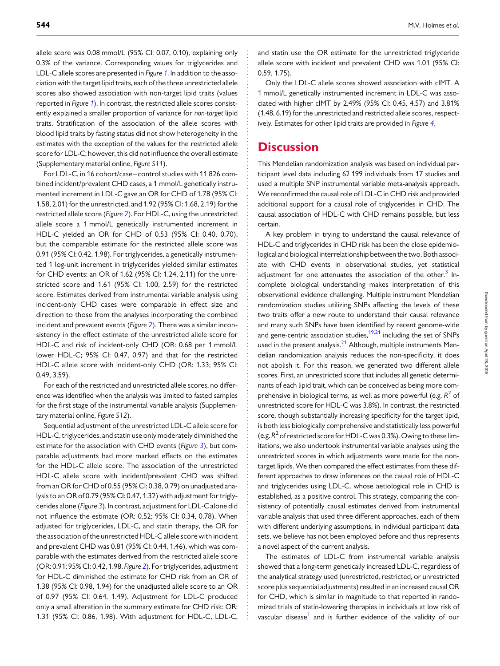allele score was 0.08 mmol/L (95% CI: 0.07, 0.10), explaining only 0.3% of the variance. Corresponding values for triglycerides and LDL-C allele scores are presented in Figure [1](#page-4-0). In addition to the association with the target lipid traits, each of the three unrestricted allele scores also showed association with non-target lipid traits (values reported in Figure [1](#page-4-0)). In contrast, the restricted allele scores consistently explained a smaller proportion of variance for non-target lipid traits. Stratification of the association of the allele scores with blood lipid traits by fasting status did not show heterogeneity in the estimates with the exception of the values for the restricted allele score for LDL-C; however, this did not influence the overall estimate [\(Supplementary material online,](http://eurheartj.oxfordjournals.org/lookup/suppl/doi:10.1093/eurheartj/eht571/-/DC1) Figure S11).

For LDL-C, in 16 cohort/case–control studies with 11 826 combined incident/prevalent CHD cases, a 1 mmol/L genetically instrumented increment in LDL-C gave an OR for CHD of 1.78 (95% CI: 1.58, 2.01) for the unrestricted, and 1.92 (95% CI: 1.68, 2.19) for the restricted allele score (Figure [2](#page-6-0)). For HDL-C, using the unrestricted allele score a 1 mmol/L genetically instrumented increment in HDL-C yielded an OR for CHD of 0.53 (95% CI: 0.40, 0.70), but the comparable estimate for the restricted allele score was 0.91 (95% CI: 0.42, 1.98). For triglycerides, a genetically instrumented 1 log-unit increment in triglycerides yielded similar estimates for CHD events: an OR of 1.62 (95% CI: 1.24, 2.11) for the unrestricted score and 1.61 (95% CI: 1.00, 2.59) for the restricted score. Estimates derived from instrumental variable analysis using incident-only CHD cases were comparable in effect size and direction to those from the analyses incorporating the combined incident and prevalent events (Figure [2](#page-6-0)). There was a similar inconsistency in the effect estimate of the unrestricted allele score for HDL-C and risk of incident-only CHD (OR: 0.68 per 1 mmol/L lower HDL-C; 95% CI: 0.47, 0.97) and that for the restricted HDL-C allele score with incident-only CHD (OR: 1.33; 95% CI: 0.49, 3.59).

For each of the restricted and unrestricted allele scores, no difference was identified when the analysis was limited to fasted samples for the first stage of the instrumental variable analysis [\(Supplemen](http://eurheartj.oxfordjournals.org/lookup/suppl/doi:10.1093/eurheartj/eht571/-/DC1)[tary material online,](http://eurheartj.oxfordjournals.org/lookup/suppl/doi:10.1093/eurheartj/eht571/-/DC1) Figure S12).

Sequential adjustment of the unrestricted LDL-C allele score for HDL-C, triglycerides, and statin use only moderately diminished the estimate for the association with CHD events (Figure  $3$ ), but comparable adjustments had more marked effects on the estimates for the HDL-C allele score. The association of the unrestricted HDL-C allele score with incident/prevalent CHD was shifted from an OR for CHD of 0.55 (95% CI: 0.38, 0.79) on unadjusted analysis to an OR of 0.79 (95% CI: 0.47, 1.32) with adjustment for triglycerides alone (Figure [3](#page-7-0)). In contrast, adjustment for LDL-C alone did not influence the estimate (OR: 0.52; 95% CI: 0.34, 0.78). When adjusted for triglycerides, LDL-C, and statin therapy, the OR for the association of the unrestricted HDL-C allele score with incident and prevalent CHD was 0.81 (95% CI: 0.44, 1.46), which was comparable with the estimates derived from the restricted allele score (OR: 0.91; 95% CI: 0.42, 1.98, Figure [2](#page-6-0)). For triglycerides, adjustment for HDL-C diminished the estimate for CHD risk from an OR of 1.38 (95% CI: 0.98, 1.94) for the unadjusted allele score to an OR of 0.97 (95% CI: 0.64. 1.49). Adjustment for LDL-C produced only a small alteration in the summary estimate for CHD risk: OR: 1.31 (95% CI: 0.86, 1.98). With adjustment for HDL-C, LDL-C, and statin use the OR estimate for the unrestricted triglyceride allele score with incident and prevalent CHD was 1.01 (95% CI: 0.59, 1.75).

Only the LDL-C allele scores showed association with cIMT. A 1 mmol/L genetically instrumented increment in LDL-C was associated with higher cIMT by 2.49% (95% CI: 0.45, 4.57) and 3.81% (1.48, 6.19) for the unrestricted and restricted allele scores, respectively. Estimates for other lipid traits are provided in Figure [4](#page-8-0).

# **Discussion**

This Mendelian randomization analysis was based on individual participant level data including 62 199 individuals from 17 studies and used a multiple SNP instrumental variable meta-analysis approach. We reconfirmed the causal role of LDL-C in CHD risk and provided additional support for a causal role of triglycerides in CHD. The causal association of HDL-C with CHD remains possible, but less certain.

A key problem in trying to understand the causal relevance of HDL-C and triglycerides in CHD risk has been the close epidemiological and biological interrelationship between the two. Both associate with CHD events in observational studies, yet statistical adjustment for one attenuates the association of the other.<sup>[3](#page-11-0)</sup> Incomplete biological understanding makes interpretation of this observational evidence challenging. Multiple instrument Mendelian randomization studies utilizing SNPs affecting the levels of these two traits offer a new route to understand their causal relevance and many such SNPs have been identified by recent genome-wide and gene-centric association studies, $19,21$  including the set of SNPs used in the present analysis.<sup>[21](#page-11-0)</sup> Although, multiple instruments Mendelian randomization analysis reduces the non-specificity, it does not abolish it. For this reason, we generated two different allele scores. First, an unrestricted score that includes all genetic determinants of each lipid trait, which can be conceived as being more comprehensive in biological terms, as well as more powerful (e.g.  $R^2$  of unrestricted score for HDL-C was 3.8%). In contrast, the restricted score, though substantially increasing specificity for the target lipid, is both less biologically comprehensive and statistically less powerful (e.g.  $R^2$  of restricted score for HDL-C was 0.3%). Owing to these limitations, we also undertook instrumental variable analyses using the unrestricted scores in which adjustments were made for the nontarget lipids. We then compared the effect estimates from these different approaches to draw inferences on the causal role of HDL-C and triglycerides using LDL-C, whose aetiological role in CHD is established, as a positive control. This strategy, comparing the consistency of potentially causal estimates derived from instrumental variable analysis that used three different approaches, each of them with different underlying assumptions, in individual participant data sets, we believe has not been employed before and thus represents a novel aspect of the current analysis.

The estimates of LDL-C from instrumental variable analysis showed that a long-term genetically increased LDL-C, regardless of the analytical strategy used (unrestricted, restricted, or unrestricted score plus sequential adjustments) resulted in an increased causal OR for CHD, which is similar in magnitude to that reported in randomized trials of statin-lowering therapies in individuals at low risk of vascular disease<sup>[1](#page-11-0)</sup> and is further evidence of the validity of our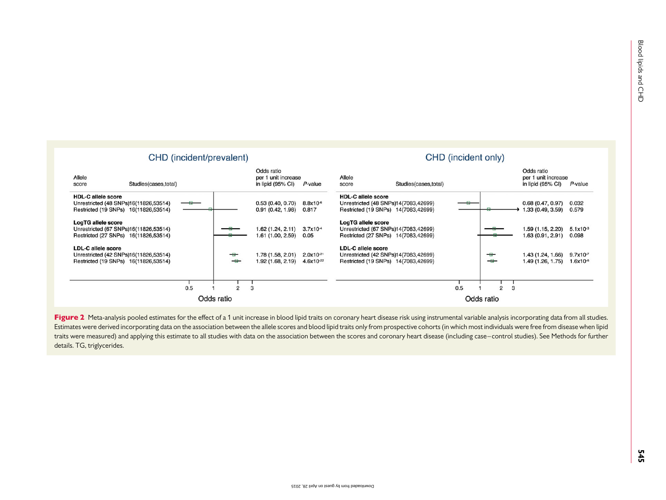<span id="page-6-0"></span>

Figure 2 Meta-analysis pooled estimates for the effect of a 1 unit increase in blood lipid traits on coronary heart disease risk using instrumental variable analysis incorporating data from all studies. Estimates were derived incorporating data on the association between the allele scores and blood lipid traits only from prospective cohorts (in which most individuals were free from disease when lipid traits were measured) and applying this estimate to all studies with data on the association between the scores and coronary heart disease (including case–control studies). See Methods for further details. TG, triglycerides.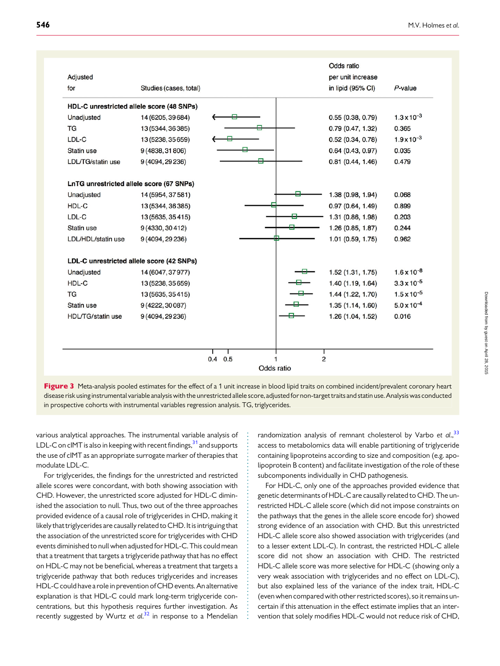<span id="page-7-0"></span>

|                                           |                                           |           | per unit increase |                              |
|-------------------------------------------|-------------------------------------------|-----------|-------------------|------------------------------|
| Studies (cases, total)                    |                                           |           | in lipid (95% CI) | $P$ -value                   |
| HDL-C unrestricted allele score (48 SNPs) |                                           |           |                   |                              |
| 14 (6205, 39 684)                         |                                           |           | 0.55(0.38, 0.79)  | $1.3 \times 10^{-3}$         |
| 13 (5344, 36385)                          |                                           |           | 0.79(0.47, 1.32)  | 0.365                        |
| 13 (5238, 35 659)                         |                                           |           | 0.52(0.34, 0.78)  | $1.9 \times 10^{-3}$         |
| 9 (4838, 31 806)                          |                                           |           | 0.64(0.43, 0.97)  | 0.035                        |
| 9 (4094, 29 236)                          |                                           | е         | 0.81(0.44, 1.46)  | 0.479                        |
| LnTG unrestricted allele score (67 SNPs)  |                                           |           |                   |                              |
| 14 (5954, 37 581)                         |                                           |           | 1.38 (0.98, 1.94) | 0.068                        |
| 13 (5344, 36 385)                         |                                           |           | 0.97(0.64, 1.49)  | 0.899                        |
| 13 (5635, 35415)                          |                                           |           | 1.31 (0.86, 1.98) | 0.203                        |
| 9 (4330, 30 412)                          |                                           |           | 1.26 (0.85, 1.87) | 0.244                        |
| 9 (4094, 29 236)                          |                                           |           | 1.01 (0.59, 1.75) | 0.962                        |
|                                           |                                           |           |                   |                              |
| 14 (6047, 37 977)                         |                                           |           | 1.52(1.31, 1.75)  | $1.6 \times 10^{-8}$         |
| 13 (5238, 35 659)                         |                                           |           | 1.40 (1.19, 1.64) | $3.3 \times 10^{-5}$         |
| 13 (5635, 35415)                          |                                           |           | 1.44 (1.22, 1.70) | $1.5 \times 10^{-5}$         |
| 9 (4222, 30 087)                          |                                           |           | 1.35(1.14, 1.60)  | $5.0 \times 10^{-4}$         |
| 9 (4094, 29 236)                          |                                           |           | 1.26 (1.04, 1.52) | 0.016                        |
|                                           |                                           |           |                   |                              |
|                                           |                                           |           |                   |                              |
|                                           |                                           |           |                   |                              |
|                                           | LDL-C unrestricted allele score (42 SNPs) | $0.4$ 0.5 | Odds ratio        | Odds ratio<br>$\overline{2}$ |

Figure 3 Meta-analysis pooled estimates for the effect of a 1 unit increase in blood lipid traits on combined incident/prevalent coronary heart disease risk usinginstrumental variableanalysiswiththeunrestricted allele score,adjusted fornon-target traitsand statin use. Analysis wasconducted in prospective cohorts with instrumental variables regression analysis. TG, triglycerides.

various analytical approaches. The instrumental variable analysis of LDL-C on cIMT is also in keeping with recent findings,  $31$  and supports the use of cIMT as an appropriate surrogate marker of therapies that modulate LDL-C.

For triglycerides, the findings for the unrestricted and restricted allele scores were concordant, with both showing association with CHD. However, the unrestricted score adjusted for HDL-C diminished the association to null. Thus, two out of the three approaches provided evidence of a causal role of triglycerides in CHD, making it likely that triglycerides are causally related to CHD. It is intriguing that the association of the unrestricted score for triglycerides with CHD events diminished to null when adjusted for HDL-C. This could mean that a treatment that targets a triglyceride pathway that has no effect on HDL-C may not be beneficial, whereas a treatment that targets a triglyceride pathway that both reduces triglycerides and increases HDL-C could have a role in prevention of CHD events. An alternative explanation is that HDL-C could mark long-term triglyceride concentrations, but this hypothesis requires further investigation. As recently suggested by Wurtz et al.<sup>[32](#page-12-0)</sup> in response to a Mendelian

randomization analysis of remnant cholesterol by Varbo et al.,<sup>[33](#page-12-0)</sup> access to metabolomics data will enable partitioning of triglyceride containing lipoproteins according to size and composition (e.g. apolipoprotein B content) and facilitate investigation of the role of these subcomponents individually in CHD pathogenesis.

For HDL-C, only one of the approaches provided evidence that genetic determinants of HDL-C are causally related to CHD. The unrestricted HDL-C allele score (which did not impose constraints on the pathways that the genes in the allele score encode for) showed strong evidence of an association with CHD. But this unrestricted HDL-C allele score also showed association with triglycerides (and to a lesser extent LDL-C). In contrast, the restricted HDL-C allele score did not show an association with CHD. The restricted HDL-C allele score was more selective for HDL-C (showing only a very weak association with triglycerides and no effect on LDL-C), but also explained less of the variance of the index trait, HDL-C (even when compared with other restricted scores), so it remains uncertain if this attenuation in the effect estimate implies that an intervention that solely modifies HDL-C would not reduce risk of CHD,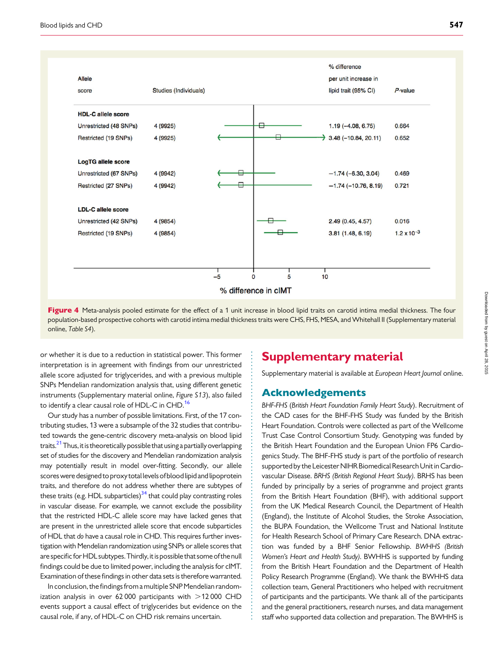<span id="page-8-0"></span>

Figure 4 Meta-analysis pooled estimate for the effect of a 1 unit increase in blood lipid traits on carotid intima medial thickness. The four population-based prospective cohorts with carotid intima medial thickness traits were CHS, FHS, MESA, and Whitehall II [\(Supplementary material](http://eurheartj.oxfordjournals.org/lookup/suppl/doi:10.1093/eurheartj/eht571/-/DC1) online, [Table S4](http://eurheartj.oxfordjournals.org/lookup/suppl/doi:10.1093/eurheartj/eht571/-/DC1)).

or whether it is due to a reduction in statistical power. This former interpretation is in agreement with findings from our unrestricted allele score adjusted for triglycerides, and with a previous multiple SNPs Mendelian randomization analysis that, using different genetic instruments ([Supplementary material online,](http://eurheartj.oxfordjournals.org/lookup/suppl/doi:10.1093/eurheartj/eht571/-/DC1) Figure S13), also failed to identify a clear causal role of HDL-C in CHD.<sup>[16](#page-11-0)</sup>

Our study has a number of possible limitations. First, of the 17 contributing studies, 13 were a subsample of the 32 studies that contributed towards the gene-centric discovery meta-analysis on blood lipid traits. $21$ Thus, it is theoretically possible that using a partially overlapping set of studies for the discovery and Mendelian randomization analysis may potentially result in model over-fitting. Secondly, our allele scores were designed to proxy total levels of blood lipid and lipoprotein traits, and therefore do not address whether there are subtypes of these traits (e.g. HDL subparticles) $34$  that could play contrasting roles in vascular disease. For example, we cannot exclude the possibility that the restricted HDL-C allele score may have lacked genes that are present in the unrestricted allele score that encode subparticles of HDL that do have a causal role in CHD. This requires further investigation with Mendelian randomization using SNPs or allele scores that are specific for HDL subtypes. Thirdly, it is possible that some of the null findings could be due to limited power, including the analysis for cIMT. Examination of these findings in other data sets is therefore warranted.

In conclusion, the findings froma multiple SNP Mendelian randomization analysis in over 62 000 participants with  $>$ 12 000 CHD events support a causal effect of triglycerides but evidence on the causal role, if any, of HDL-C on CHD risk remains uncertain.

# Supplementary material

[Supplementary material is available at](http://eurheartj.oxfordjournals.org/lookup/suppl/doi:10.1093/eurheartj/eht571/-/DC1) European Heart Journal online.

### Acknowledgements

BHF-FHS (British Heart Foundation Family Heart Study). Recruitment of the CAD cases for the BHF-FHS Study was funded by the British Heart Foundation. Controls were collected as part of the Wellcome Trust Case Control Consortium Study. Genotyping was funded by the British Heart Foundation and the European Union FP6 Cardiogenics Study. The BHF-FHS study is part of the portfolio of research supported by the Leicester NIHR Biomedical Research Unit in Cardiovascular Disease. BRHS (British Regional Heart Study). BRHS has been funded by principally by a series of programme and project grants from the British Heart Foundation (BHF), with additional support from the UK Medical Research Council, the Department of Health (England), the Institute of Alcohol Studies, the Stroke Association, the BUPA Foundation, the Wellcome Trust and National Institute for Health Research School of Primary Care Research. DNA extraction was funded by a BHF Senior Fellowship. BWHHS (British Women's Heart and Health Study). BWHHS is supported by funding from the British Heart Foundation and the Department of Health Policy Research Programme (England). We thank the BWHHS data collection team, General Practitioners who helped with recruitment of participants and the participants. We thank all of the participants and the general practitioners, research nurses, and data management staff who supported data collection and preparation. The BWHHS is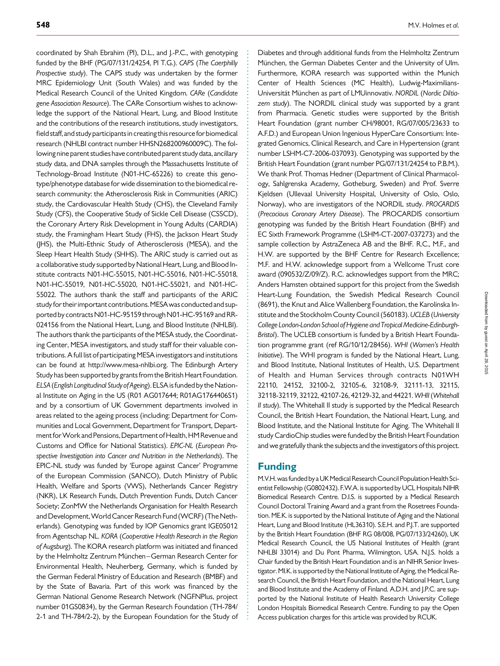coordinated by Shah Ebrahim (PI), D.L., and J.-P.C., with genotyping funded by the BHF (PG/07/131/24254, PI T.G.). CAPS (The Caerphilly Prospective study). The CAPS study was undertaken by the former MRC Epidemiology Unit (South Wales) and was funded by the Medical Research Council of the United Kingdom. CARe (Candidate gene Association Resource). The CARe Consortium wishes to acknowledge the support of the National Heart, Lung, and Blood Institute and the contributions of the research institutions, study investigators, field staff, and study participants in creating this resource for biomedical research (NHLBI contract number HHSN268200960009C). The following nine parent studies have contributed parent study data, ancillary study data, and DNA samples through the Massachusetts Institute of Technology-Broad Institute (N01-HC-65226) to create this genotype/phenotype database for wide dissemination to the biomedical research community: the Atherosclerosis Risk in Communities (ARIC) study, the Cardiovascular Health Study (CHS), the Cleveland Family Study (CFS), the Cooperative Study of Sickle Cell Disease (CSSCD), the Coronary Artery Risk Development in Young Adults (CARDIA) study, the Framingham Heart Study (FHS), the Jackson Heart Study (JHS), the Multi-Ethnic Study of Atherosclerosis (MESA), and the Sleep Heart Health Study (SHHS). The ARIC study is carried out as a collaborative study supported by National Heart, Lung, and Blood Institute contracts N01-HC-55015, N01-HC-55016, N01-HC-55018, N01-HC-55019, N01-HC-55020, N01-HC-55021, and N01-HC-55022. The authors thank the staff and participants of the ARIC study for their important contributions. MESA was conducted and supported by contracts N01-HC-95159 through N01-HC-95169 and RR-024156 from the National Heart, Lung, and Blood Institute (NHLBI). The authors thank the participants of the MESA study, the Coordinating Center, MESA investigators, and study staff for their valuable contributions. A full list of participating MESA investigatorsand institutions can be found at http://www.mesa-nhlbi.org. The Edinburgh Artery Study has been supported by grants from the British Heart Foundation. ELSA (English Longitudinal Study of Ageing). ELSA is funded by the National Institute on Aging in the US (R01 AG017644; R01AG1764406S1) and by a consortium of UK Government departments involved in areas related to the ageing process (including: Department for Communities and Local Government, Department for Transport, Department for Work and Pensions, Department of Health, HM Revenue and Customs and Office for National Statistics). EPIC-NL (European Prospective Investigation into Cancer and Nutrition in the Netherlands). The EPIC-NL study was funded by 'Europe against Cancer' Programme of the European Commission (SANCO), Dutch Ministry of Public Health, Welfare and Sports (VWS), Netherlands Cancer Registry (NKR), LK Research Funds, Dutch Prevention Funds, Dutch Cancer Society; ZonMW the Netherlands Organisation for Health Research and Development, World Cancer Research Fund (WCRF) (The Netherlands). Genotyping was funded by IOP Genomics grant IGE05012 from Agentschap NL. KORA (Cooperative Health Research in the Region of Augsburg). The KORA research platform was initiated and financed by the Helmholtz Zentrum München–German Research Center for Environmental Health, Neuherberg, Germany, which is funded by the German Federal Ministry of Education and Research (BMBF) and by the State of Bavaria. Part of this work was financed by the German National Genome Research Network (NGFNPlus, project number 01GS0834), by the German Research Foundation (TH-784/ 2-1 and TH-784/2-2), by the European Foundation for the Study of Diabetes and through additional funds from the Helmholtz Zentrum München, the German Diabetes Center and the University of Ulm. Furthermore, KORA research was supported within the Munich Center of Health Sciences (MC Health), Ludwig-Maximilians-Universität München as part of LMUinnovativ. NORDIL (Nordic Diltiazem study). The NORDIL clinical study was supported by a grant from Pharmacia. Genetic studies were supported by the British Heart Foundation (grant number CH/98001, RG/07/005/23633 to A.F.D.) and European Union Ingenious HyperCare Consortium: Integrated Genomics, Clinical Research, and Care in Hypertension (grant number LSHM-C7-2006-037093). Genotyping was supported by the British Heart Foundation (grant number PG/07/131/24254 to P.B.M.). We thank Prof. Thomas Hedner (Department of Clinical Pharmacology, Sahlgrenska Academy, Gotheburg, Sweden) and Prof. Sverre Kjeldsen (Ullevaal University Hospital, University of Oslo, Oslo, Norway), who are investigators of the NORDIL study. PROCARDIS (Precocious Coronary Artery Disease). The PROCARDIS consortium genotyping was funded by the British Heart Foundation (BHF) and EC Sixth Framework Programme (LSHM-CT-2007-037273) and the sample collection by AstraZeneca AB and the BHF. R.C., M.F., and H.W. are supported by the BHF Centre for Research Excellence; M.F. and H.W. acknowledge support from a Wellcome Trust core award (090532/Z/09/Z). R.C. acknowledges support from the MRC; Anders Hamsten obtained support for this project from the Swedish Heart-Lung Foundation, the Swedish Medical Research Council (8691), the Knut and Alice Wallenberg Foundation, the Karolinska Institute and the Stockholm County Council (560183). UCLEB (University College London-London School of Hygiene and Tropical Medicine-Edinburgh-Bristol). The UCLEB consortium is funded by a British Heart Foundation programme grant (ref RG/10/12/28456). WHI (Women's Health Initiative). The WHI program is funded by the National Heart, Lung, and Blood Institute, National Institutes of Health, U.S. Department of Health and Human Services through contracts N01WH 22110, 24152, 32100-2, 32105-6, 32108-9, 32111-13, 32115, 32118-32119, 32122, 42107-26, 42129-32, and 44221. WHII(Whitehall II study). The Whitehall II study is supported by the Medical Research Council, the British Heart Foundation, the National Heart, Lung, and Blood Institute, and the National Institute for Aging. The Whitehall II study CardioChip studies were funded by the British Heart Foundation and we gratefully thank the subjects and the investigators of this project.

## Funding

M.V.H. was funded by a UK Medical Research Council Population Health Scientist Fellowship (G0802432). F.W.A. is supported by UCL Hospitals NIHR Biomedical Research Centre. D.I.S. is supported by a Medical Research Council Doctoral Training Award and a grant from the Rosetrees Foundation. ME.K. is supported by the National Institute of Aging and the National Heart, Lung and Blood Institute (HL36310). S.E.H. and P.J.T. are supported by the British Heart Foundation (BHF RG 08/008, PG/07/133/24260), UK Medical Research Council, the US National Institutes of Health (grant NHLBI 33014) and Du Pont Pharma, Wilmington, USA. N.J.S. holds a Chair funded by the British Heart Foundation and is an NIHR Senior Investigator. MI.K. is supported by the National Institute of Aging, the Medical Research Council, the British Heart Foundation, and the National Heart, Lung and Blood Institute and the Academy of Finland. A.D.H. and J.P.C. are supported by the National Institute of Health Research University College London Hospitals Biomedical Research Centre. Funding to pay the Open Access publication charges for this article was provided by RCUK.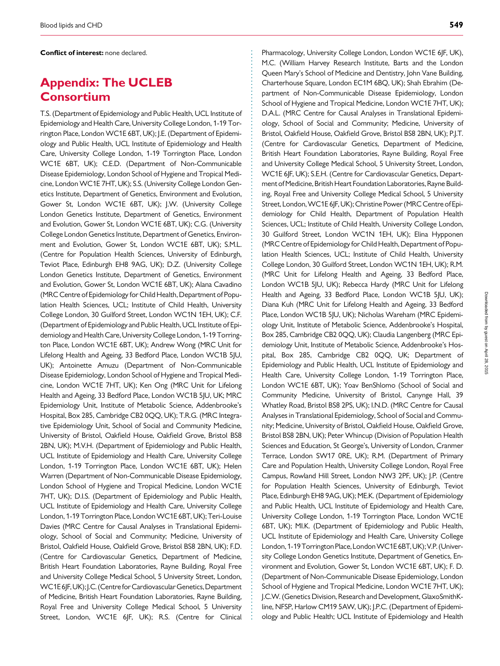Conflict of interest: none declared.

# Appendix: The UCLEB Consortium

T.S. (Department of Epidemiology and Public Health, UCL Institute of Epidemiology and Health Care, University College London, 1-19 Torrington Place, London WC1E 6BT, UK); J.E. (Department of Epidemiology and Public Health, UCL Institute of Epidemiology and Health Care, University College London, 1-19 Torrington Place, London WC1E 6BT, UK); C.E.D. (Department of Non-Communicable Disease Epidemiology, London School of Hygiene and Tropical Medicine, London WC1E 7HT, UK); S.S. (University College London Genetics Institute, Department of Genetics, Environment and Evolution, Gower St, London WC1E 6BT, UK); J.W. (University College London Genetics Institute, Department of Genetics, Environment and Evolution, Gower St, London WC1E 6BT, UK); C.G. (University College London Genetics Institute, Department of Genetics, Environment and Evolution, Gower St, London WC1E 6BT, UK); S.M.L. (Centre for Population Health Sciences, University of Edinburgh, Teviot Place, Edinburgh EH8 9AG, UK); D.Z. (University College London Genetics Institute, Department of Genetics, Environment and Evolution, Gower St, London WC1E 6BT, UK); Alana Cavadino (MRC Centre of Epidemiology for Child Health, Department of Population Health Sciences, UCL; Institute of Child Health, University College London, 30 Guilford Street, London WC1N 1EH, UK); C.F. (Department of Epidemiology and Public Health, UCL Institute of Epidemiology and Health Care, University College London, 1-19 Torrington Place, London WC1E 6BT, UK); Andrew Wong (MRC Unit for Lifelong Health and Ageing, 33 Bedford Place, London WC1B 5JU, UK); Antoinette Amuzu (Department of Non-Communicable Disease Epidemiology, London School of Hygiene and Tropical Medicine, London WC1E 7HT, UK); Ken Ong (MRC Unit for Lifelong Health and Ageing, 33 Bedford Place, London WC1B 5JU, UK; MRC Epidemiology Unit, Institute of Metabolic Science, Addenbrooke's Hospital, Box 285, Cambridge CB2 0QQ, UK); T.R.G. (MRC Integrative Epidemiology Unit, School of Social and Community Medicine, University of Bristol, Oakfield House, Oakfield Grove, Bristol BS8 2BN, UK); M.V.H. (Department of Epidemiology and Public Health, UCL Institute of Epidemiology and Health Care, University College London, 1-19 Torrington Place, London WC1E 6BT, UK); Helen Warren (Department of Non-Communicable Disease Epidemiology, London School of Hygiene and Tropical Medicine, London WC1E 7HT, UK); D.I.S. (Department of Epidemiology and Public Health, UCL Institute of Epidemiology and Health Care, University College London, 1-19 Torrington Place, London WC1E 6BT, UK); Teri-Louise Davies (MRC Centre for Causal Analyses in Translational Epidemiology, School of Social and Community; Medicine, University of Bristol, Oakfield House, Oakfield Grove, Bristol BS8 2BN, UK); F.D. (Centre for Cardiovascular Genetics, Department of Medicine, British Heart Foundation Laboratories, Rayne Building, Royal Free and University College Medical School, 5 University Street, London, WC1E6JF, UK); J.C. (Centre for Cardiovascular Genetics, Department of Medicine, British Heart Foundation Laboratories, Rayne Building, Royal Free and University College Medical School, 5 University Street, London, WC1E 6JF, UK); R.S. (Centre for Clinical

Pharmacology, University College London, London WC1E 6JF, UK), M.C. (William Harvey Research Institute, Barts and the London Queen Mary's School of Medicine and Dentistry, John Vane Building, Charterhouse Square, London EC1M 6BQ, UK); Shah Ebrahim (Department of Non-Communicable Disease Epidemiology, London School of Hygiene and Tropical Medicine, London WC1E 7HT, UK); D.A.L. (MRC Centre for Causal Analyses in Translational Epidemiology, School of Social and Community; Medicine, University of Bristol, Oakfield House, Oakfield Grove, Bristol BS8 2BN, UK); P.J.T. (Centre for Cardiovascular Genetics, Department of Medicine, British Heart Foundation Laboratories, Rayne Building, Royal Free and University College Medical School, 5 University Street, London, WC1E 6JF, UK); S.E.H. (Centre for Cardiovascular Genetics, Department of Medicine, British Heart Foundation Laboratories, Rayne Building, Royal Free and University College Medical School, 5 University Street, London, WC1E 6JF, UK); Christine Power (MRC Centre of Epidemiology for Child Health, Department of Population Health Sciences, UCL; Institute of Child Health, University College London, 30 Guilford Street, London WC1N 1EH, UK); Elina Hypponen (MRC Centre of Epidemiology for Child Health, Department of Population Health Sciences, UCL; Institute of Child Health, University College London, 30 Guilford Street, London WC1N 1EH, UK); R.M. (MRC Unit for Lifelong Health and Ageing, 33 Bedford Place, London WC1B 5JU, UK); Rebecca Hardy (MRC Unit for Lifelong Health and Ageing, 33 Bedford Place, London WC1B 5JU, UK); Diana Kuh (MRC Unit for Lifelong Health and Ageing, 33 Bedford Place, London WC1B 5JU, UK); Nicholas Wareham (MRC Epidemiology Unit, Institute of Metabolic Science, Addenbrooke's Hospital, Box 285, Cambridge CB2 0QQ, UK); Claudia Langenberg (MRC Epidemiology Unit, Institute of Metabolic Science, Addenbrooke's Hospital, Box 285, Cambridge CB2 0QQ, UK; Department of Epidemiology and Public Health, UCL Institute of Epidemiology and Health Care, University College London, 1-19 Torrington Place, London WC1E 6BT, UK); Yoav BenShlomo (School of Social and Community Medicine, University of Bristol, Canynge Hall, 39 Whatley Road, Bristol BS8 2PS, UK); I.N.D. (MRC Centre for Causal Analyses in Translational Epidemiology, School of Social and Community; Medicine, University of Bristol, Oakfield House, Oakfield Grove, Bristol BS8 2BN, UK); Peter Whincup (Division of Population Health Sciences and Education, St George's, University of London, Cranmer Terrace, London SW17 0RE, UK); R.M. (Department of Primary Care and Population Health, University College London, Royal Free Campus, Rowland Hill Street, London NW3 2PF, UK); J.P. (Centre for Population Health Sciences, University of Edinburgh, Teviot Place, Edinburgh EH8 9AG, UK); ME.K. (Department of Epidemiology and Public Health, UCL Institute of Epidemiology and Health Care, University College London, 1-19 Torrington Place, London WC1E 6BT, UK); MI.K. (Department of Epidemiology and Public Health, UCL Institute of Epidemiology and Health Care, University College London, 1-19 Torrington Place, London WC1E 6BT, UK); V.P. (University College London Genetics Institute, Department of Genetics, Environment and Evolution, Gower St, London WC1E 6BT, UK); F. D. (Department of Non-Communicable Disease Epidemiology, London School of Hygiene and Tropical Medicine, London WC1E 7HT, UK); J.C.W. (Genetics Division, Research and Development, GlaxoSmithKline, NFSP, Harlow CM19 5AW, UK); J.P.C. (Department of Epidemiology and Public Health; UCL Institute of Epidemiology and Health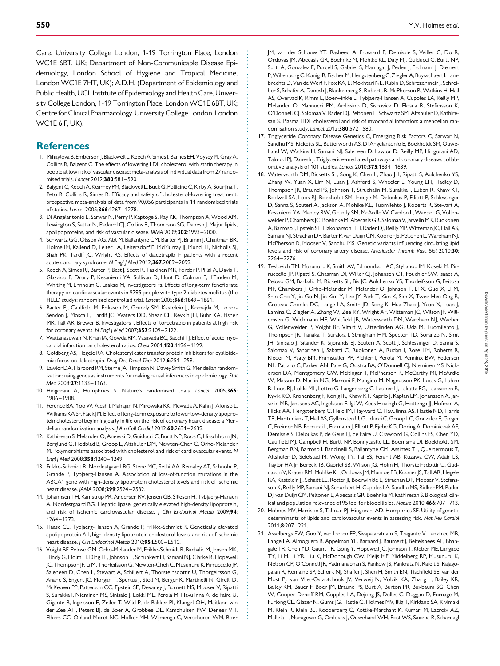<span id="page-11-0"></span>Care, University College London, 1-19 Torrington Place, London WC1E 6BT, UK; Department of Non-Communicable Disease Epidemiology, London School of Hygiene and Tropical Medicine, London WC1E 7HT, UK); A.D.H. (Department of Epidemiology and Public Health, UCL Institute of Epidemiologyand Health Care, University College London, 1-19 Torrington Place, London WC1E 6BT, UK; Centre for Clinical Pharmacology, University College London, London WC1E 6JF, UK).

### **References**

- 1. Mihaylova B, Emberson J, Blackwell L, Keech A, Simes J, Barnes EH, Voysey M, Gray A, Collins R, Baigent C. The effects of lowering LDL cholesterol with statin therapy in people at low risk of vascular disease: meta-analysis of individual data from 27 randomised trials. Lancet 2012;380:581–590.
- 2. Baigent C, Keech A, Kearney PM, Blackwell L, Buck G, Pollicino C, Kirby A, Sourjina T, Peto R, Collins R, Simes R. Efficacy and safety of cholesterol-lowering treatment: prospective meta-analysis of data from 90,056 participants in 14 randomised trials of statins. Lancet 2005;366:1267–1278.
- 3. Di Angelantonio E, Sarwar N, Perry P, Kaptoge S, Ray KK, Thompson A, Wood AM, Lewington S, Sattar N, Packard CJ, Collins R, Thompson SG, Danesh J. Major lipids, apolipoproteins, and risk of vascular disease. JAMA 2009;302:1993–2000.
- 4. Schwartz GG, Olsson AG, Abt M, Ballantyne CM, Barter PI, Brumm I, Chaitman BR, Holme IM, Kallend D, Leiter LA, Leitersdorf E, McMurray JJ, Mundl H, Nicholls SJ, Shah PK, Tardif JC, Wright RS. Effects of dalcetrapib in patients with a recent acute coronary syndrome. N Engl J Med 2012;367:2089-2099.
- 5. Keech A, Simes RJ, Barter P, Best J, Scott R, Taskinen MR, Forder P, Pillai A, Davis T, Glasziou P, Drury P, Kesaniemi YA, Sullivan D, Hunt D, Colman P, d'Emden M, Whiting M, Ehnholm C, Laakso M, investigators Fs. Effects of long-term fenofibrate therapy on cardiovascular events in 9795 people with type 2 diabetes mellitus (the FIELD study): randomised controlled trial. Lancet 2005;366:1849–1861.
- 6. Barter PJ, Caulfield M, Eriksson M, Grundy SM, Kastelein JJ, Komajda M, Lopez-Sendon J, Mosca L, Tardif JC, Waters DD, Shear CL, Revkin JH, Buhr KA, Fisher MR, Tall AR, Brewer B, Investigators I. Effects of torcetrapib in patients at high risk for coronary events. N Engl J Med 2007;357:2109–2122.
- 7. Wattanasuwan N, Khan IA, Gowda RM, Vasavada BC, Sacchi TI, Effect of acute myocardial infarction on cholesterol ratios. Chest 2001;120:1196–1199.
- 8. Goldberg AS, Hegele RA. Cholesteryl ester transfer protein inhibitors for dyslipidemia: focus on dalcetrapib. Drug Des Devel Ther 2012;6:251–259.
- 9. Lawlor DA, Harbord RM, Sterne JA, Timpson N, Davey Smith G. Mendelian randomization: using genes as instruments for making causal inferences in epidemiology. Stat Med 2008;27:1133–1163.
- 10. Hingorani A, Humphries S. Nature's randomised trials. Lancet 2005;366: 1906–1908.
- 11. Ference BA, Yoo W, Alesh I, Mahajan N, Mirowska KK, Mewada A, Kahn J, Afonso L, Williams KA Sr, Flack JM. Effect of long-term exposure to lower low-density lipoprotein cholesterol beginning early in life on the risk of coronary heart disease: a Mendelian randomization analysis. J Am Coll Cardiol 2012;60:2631-2639.
- 12. Kathiresan S, Melander O, Anevski D, Guiducci C, Burtt NP, Roos C, Hirschhorn JN, Berglund G, Hedblad B, Groop L, Altshuler DM, Newton-Cheh C, Orho-Melander M. Polymorphisms associated with cholesterol and risk of cardiovascular events. N Engl J Med 2008;358:1240-1249.
- 13. Frikke-Schmidt R, Nordestgaard BG, Stene MC, Sethi AA, Remaley AT, Schnohr P, Grande P, Tybjaerg-Hansen A. Association of loss-of-function mutations in the ABCA1 gene with high-density lipoprotein cholesterol levels and risk of ischemic heart disease. JAMA 2008;299:2524–2532.
- 14. Johannsen TH, Kamstrup PR, Andersen RV, Jensen GB, Sillesen H, Tybjaerg-Hansen A, Nordestgaard BG. Hepatic lipase, genetically elevated high-density lipoprotein, and risk of ischemic cardiovascular disease. J Clin Endocrinol Metab 2009;94: 1264–1273.
- 15. Haase CL, Tybjaerg-Hansen A, Grande P, Frikke-Schmidt R. Genetically elevated apolipoprotein A-I, high-density lipoprotein cholesterol levels, and risk of ischemic heart disease. J Clin Endocrinol Metab 2010;95:E500-E510.
- 16. Voight BF, Peloso GM, Orho-Melander M, Frikke-Schmidt R, Barbalic M, Jensen MK, Hindy G, Holm H, Ding EL, Johnson T, Schunkert H, Samani NJ, Clarke R, Hopewell JC, Thompson JF, Li M, Thorleifsson G, Newton-Cheh C, Musunuru K, Pirruccello JP, Saleheen D, Chen L, Stewart A, Schillert A, Thorsteinsdottir U, Thorgeirsson G, Anand S, Engert JC, Morgan T, Spertus J, Stoll M, Berger K, Martinelli N, Girelli D, McKeown PP, Patterson CC, Epstein SE, Devaney J, Burnett MS, Mooser V, Ripatti S, Surakka I, Nieminen MS, Sinisalo J, Lokki ML, Perola M, Havulinna A, de Faire U, Gigante B, Ingelsson E, Zeller T, Wild P, de Bakker PI, Klungel OH, Maitland-van der Zee AH, Peters BJ, de Boer A, Grobbee DE, Kamphuisen PW, Deneer VH, Elbers CC, Onland-Moret NC, Hofker MH, Wijmenga C, Verschuren WM, Boer

JM, van der Schouw YT, Rasheed A, Frossard P, Demissie S, Willer C, Do R, Ordovas JM, Abecasis GR, Boehnke M, Mohlke KL, Daly MJ, Guiducci C, Burtt NP, Surti A, Gonzalez E, Purcell S, Gabriel S, Marrugat J, Peden J, Erdmann J, Diemert P, Willenborg C, Konig IR, Fischer M, Hengstenberg C, Ziegler A, Buysschaert I, Lambrechts D, Van de Werf F, Fox KA, El Mokhtari NE, Rubin D, Schrezenmeir J, Schreiber S, Schafer A, Danesh J, Blankenberg S, Roberts R, McPherson R, Watkins H, Hall AS, Overvad K, Rimm E, Boerwinkle E, Tybjaerg-Hansen A, Cupples LA, Reilly MP, Melander O, Mannucci PM, Ardissino D, Siscovick D, Elosua R, Stefansson K, O'Donnell CJ, Salomaa V, Rader DJ, Peltonen L, Schwartz SM, Altshuler D, Kathiresan S. Plasma HDL cholesterol and risk of myocardial infarction: a mendelian randomisation study. Lancet 2012;380:572-580.

- 17. Triglyceride Coronary Disease Genetics C, Emerging Risk Factors C, Sarwar N, Sandhu MS, Ricketts SL, Butterworth AS, Di Angelantonio E, Boekholdt SM, Ouwehand W, Watkins H, Samani NJ, Saleheen D, Lawlor D, Reilly MP, Hingorani AD, Talmud PJ, Danesh J. Triglyceride-mediated pathways and coronary disease: collaborative analysis of 101 studies. Lancet 2010;375:1634–1639.
- 18. Waterworth DM, Ricketts SL, Song K, Chen L, Zhao JH, Ripatti S, Aulchenko YS, Zhang W, Yuan X, Lim N, Luan J, Ashford S, Wheeler E, Young EH, Hadley D, Thompson JR, Braund PS, Johnson T, Struchalin M, Surakka I, Luben R, Khaw KT, Rodwell SA, Loos RJ, Boekholdt SM, Inouye M, Deloukas P, Elliott P, Schlessinger D, Sanna S, Scuteri A, Jackson A, Mohlke KL, Tuomilehto J, Roberts R, Stewart A, Kesaniemi YA, Mahley RW, Grundy SM, McArdle W, Cardon L, Waeber G, Vollenweider P, Chambers JC, BoehnkeM, Abecasis GR, Salomaa V, Jarvelin MR, Ruokonen A, Barroso I, Epstein SE, Hakonarson HH, Rader DJ, Reilly MP, Witteman JC, Hall AS, Samani NJ, Strachan DP, Barter P, van Duijn CM, Kooner JS, Peltonen L, Wareham NJ, McPherson R, Mooser V, Sandhu MS. Genetic variants influencing circulating lipid levels and risk of coronary artery disease. Arterioscler Thromb Vasc Biol 2010;30: 2264–2276.
- 19. Teslovich TM, Musunuru K, Smith AV, Edmondson AC, Stylianou IM, Koseki M, Pirruccello JP, Ripatti S, Chasman DI, Willer CJ, Johansen CT, Fouchier SW, Isaacs A, Peloso GM, Barbalic M, Ricketts SL, Bis JC, Aulchenko YS, Thorleifsson G, Feitosa MF, Chambers J, Orho-Melander M, Melander O, Johnson T, Li X, Guo X, Li M, Shin Cho Y, Jin Go M, Jin Kim Y, Lee JY, Park T, Kim K, Sim X, Twee-Hee Ong R, Croteau-Chonka DC, Lange LA, Smith JD, Song K, Hua Zhao J, Yuan X, Luan J, Lamina C, Ziegler A, Zhang W, Zee RY, Wright AF, Witteman JC, Wilson JF, Willemsen G, Wichmann HE, Whitfield JB, Waterworth DM, Wareham NJ, Waeber G, Vollenweider P, Voight BF, Vitart V, Uitterlinden AG, Uda M, Tuomilehto J, Thompson JR, Tanaka T, Surakka I, Stringham HM, Spector TD, Soranzo N, Smit JH, Sinisalo J, Silander K, Sijbrands EJ, Scuteri A, Scott J, Schlessinger D, Sanna S, Salomaa V, Saharinen J, Sabatti C, Ruokonen A, Rudan I, Rose LM, Roberts R, Rieder M, Psaty BM, Pramstaller PP, Pichler I, Perola M, Penninx BW, Pedersen NL, Pattaro C, Parker AN, Pare G, Oostra BA, O'Donnell CJ, Nieminen MS, Nickerson DA, Montgomery GW, Meitinger T, McPherson R, McCarthy MI, McArdle W, Masson D, Martin NG, Marroni F, Mangino M, Magnusson PK, Lucas G, Luben R, Loos RJ, Lokki ML, Lettre G, Langenberg C, Launer LJ, Lakatta EG, Laaksonen R, Kyvik KO, Kronenberg F, Konig IR, Khaw KT, Kaprio J, Kaplan LM, Johansson A, Jarvelin MR, Janssens AC, Ingelsson E, Igl W, Kees Hovingh G, Hottenga JJ, Hofman A, Hicks AA, Hengstenberg C, Heid IM, Hayward C, Havulinna AS, Hastie ND, Harris TB, Haritunians T, Hall AS, Gyllensten U, Guiducci C, Groop LC, Gonzalez E, Gieger C, Freimer NB, Ferrucci L, Erdmann J, Elliott P, Ejebe KG, Doring A, Dominiczak AF, Demissie S, Deloukas P, de Geus EJ, de Faire U, Crawford G, Collins FS, Chen YD, Caulfield MJ, Campbell H, Burtt NP, Bonnycastle LL, Boomsma DI, Boekholdt SM, Bergman RN, Barroso I, Bandinelli S, Ballantyne CM, Assimes TL, Quertermous T, Altshuler D, Seielstad M, Wong TY, Tai ES, Feranil AB, Kuzawa CW, Adair LS, Taylor HA Jr, Borecki IB, Gabriel SB, Wilson JG, Holm H, Thorsteinsdottir U, Gudnason V, Krauss RM, Mohlke KL, Ordovas JM, Munroe PB, Kooner JS, Tall AR, Hegele RA, Kastelein II, Schadt EE, Rotter II, Boerwinkle E, Strachan DP, Mooser V, Stefansson K, Reilly MP, Samani NJ, Schunkert H, Cupples LA, Sandhu MS, Ridker PM, Rader DJ, van Duijn CM, Peltonen L, Abecasis GR, Boehnke M, Kathiresan S. Biological, clinical and population relevance of 95 loci for blood lipids. Nature 2010;466:707-713.
- 20. Holmes MV, Harrison S, Talmud PJ, Hingorani AD, Humphries SE. Utility of genetic determinants of lipids and cardiovascular events in assessing risk. Nat Rev Cardiol 2011;8:207–221.
- 21. Asselbergs FW, Guo Y, van Iperen EP, Sivapalaratnam S, Tragante V, Lanktree MB, Lange LA, Almoguera B, Appelman YE, Barnard J, Baumert J, Beitelshees AL, Bhangale TR, Chen YD, Gaunt TR, Gong Y, Hopewell JC, Johnson T, Kleber ME, Langaee TY, Li M, Li YR, Liu K, McDonough CW, Meijs MF, Middelberg RP, Musunuru K, Nelson CP, O'Connell JR, Padmanabhan S, Pankow JS, Pankratz N, Rafelt S, Rajagopalan R, Romaine SP, Schork NJ, Shaffer J, Shen H, Smith EN, Tischfield SE, van der Most PJ, van Vliet-Ostaptchouk JV, Verweij N, Volcik KA, Zhang L, Bailey KR, Bailey KM, Bauer F, Boer JM, Braund PS, Burt A, Burton PR, Buxbaum SG, Chen W, Cooper-Dehoff RM, Cupples LA, Dejong JS, Delles C, Duggan D, Fornage M, Furlong CE, Glazer N, Gums JG, Hastie C, Holmes MV, Illig T, Kirkland SA, Kivimaki M, Klein R, Klein BE, Kooperberg C, Kottke-Marchant K, Kumari M, Lacroix AZ, Mallela L, Murugesan G, Ordovas J, Ouwehand WH, Post WS, Saxena R, Scharnagl